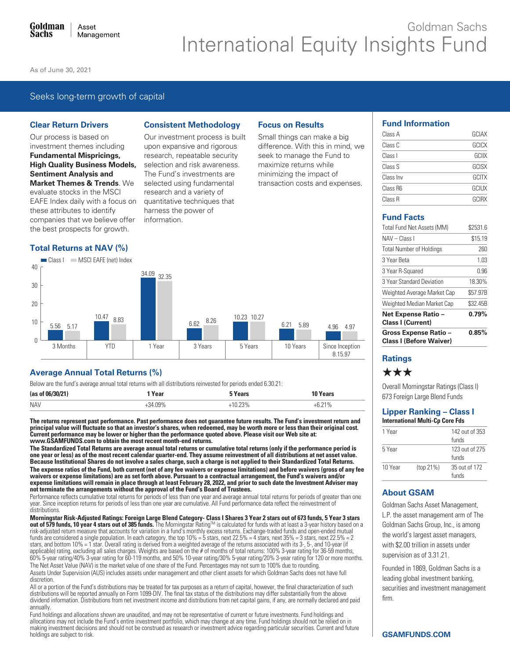# Goldman Sachs **International Equity Insights Fund**

As of June 30, 2021

# Seeks long-term growth of capital

### **Clear Return Drivers**

Our process is based on investment themes including **Fundamental Mispricings, High Quality Business Models, Sentiment Analysis and Market Themes & Trends. We** evaluate stocks in the MSCI EAFE Index daily with a focus on these attributes to identify companies that we believe offer the best prospects for growth.

### **Total Returns at NAV (%)**

Class | MSCI EAFE (net) Index

# **Consistent Methodology**

Our investment process is built upon expansive and rigorous research, repeatable security selection and risk awareness. The Fund's investments are selected using fundamental research and a variety of quantitative techniques that harness the power of information.

# **Focus on Results**

Small things can make a big difference. With this in mind, we seek to manage the Fund to maximize returns while minimizing the impact of transaction costs and expenses.

| <b>Fund Information</b> |  |
|-------------------------|--|
|-------------------------|--|

| Class A   | GCIAX        |
|-----------|--------------|
| Class C   | GCICX        |
| Class I   | GCIIX        |
| Class S   | GCISX        |
| Class Inv | GCITX        |
| Class R6  | <b>GCIUX</b> |
| Class R   | <b>GCIRX</b> |

# **Fund Facts**

| <b>Gross Expense Ratio -</b><br><b>Class I (Before Waiver)</b> | 0.85%    |
|----------------------------------------------------------------|----------|
| Net Expense Ratio -<br><b>Class I (Current)</b>                | 0.79%    |
| Weighted Median Market Cap                                     | \$32.45B |
| Weighted Average Market Cap                                    | \$57.97B |
| 3 Year Standard Deviation                                      | 18.30%   |
| 3 Year R-Squared                                               | 0.96     |
| 3 Year Beta                                                    | 1.03     |
| <b>Total Number of Holdings</b>                                | 260      |
| NAV - Class I                                                  | \$15.19  |
| Total Fund Net Assets (MM)                                     | \$2531.6 |

# **Ratings**

# \*\*\*

Overall Morningstar Ratings (Class I) 673 Foreign Large Blend Funds

#### **Lipper Ranking - Class I International Multi-Cp Core Fds**

| 1 Year  |           | 142 out of 353          |
|---------|-----------|-------------------------|
|         |           | funds                   |
| 5 Year  |           | 123 out of 275<br>funds |
| 10 Year | (top 21%) | 35 out of 172<br>funds  |

# **About GSAM**

Goldman Sachs Asset Management, L.P. the asset management arm of The Goldman Sachs Group, Inc., is among the world's largest asset managers, with \$2.00 trillion in assets under supervision as of 3.31.21.

Founded in 1869. Goldman Sachs is a leading global investment banking, securities and investment management firm



# **Average Annual Total Returns (%)**

Below are the fund's average annual total returns with all distributions reinvested for periods ended 6.30.21:

| (as of     | Year                                  | ears | ears/ |
|------------|---------------------------------------|------|-------|
| <b>NAV</b> | $\bigcap Q$ <sup>o</sup><br>$\lambda$ | ივ%  | 710/  |

The returns represent past performance. Past performance does not quarantee future results. The Fund's investment return and principal value will fluctuate so that an investor's shares, when redeemed, may be worth more or less than their original cost.<br>Current performance may be lower or higher than the performance quoted above. Please visit our www.GSAMFUNDS.com to obtain the most recent month-end returns.

The Standardized Total Returns are average annual total returns or cumulative total returns (only if the performance period is one year or less) as of the most recent calendar quarter-end. They assume reinvestment of all distributions at net asset value. Because Institutional Shares do not involve a sales charge, such a charge is not applied to their Standardized Total Returns. The expense ratios of the Fund, both current (net of any fee waivers or expense limitations) and before waivers (gross of any fee waivers or expense limitations) are as set forth above. Pursuant to a contractual arrangement, the Fund's waivers and/or expense limitations will remain in place through at least February 28, 2022, and prior to such date the Investment Adviser may not terminate the arrangements without the approval of the Fund's Board of Trustees.

Performance reflects cumulative total returns for periods of less than one year and average annual total returns for periods of greater than one year. Since inception returns for periods of less than one year are cumulative. All Fund performance data reflect the reinvestment of distributions.

Morningstar Risk-Adjusted Ratings: Foreign Large Blend Category- Class I Shares 3 Year 2 stars out of 673 funds, 5 Year 3 stars out of 579 funds, 10 year 4 stars out of 385 funds. The Morningstar Rating™ is calculated for funds with at least a 3-year history based on a risk-adjusted return measure that accounts for variation in a fund's monthly excess returns. Exchange-traded funds and open-ended mutual funds are considered a single population. In each category, the top  $10\% = 5$  stars, next 22.5% = 4 stars, next 35% = 3 stars, next 22.5% = 2 stars, and bottom 10% = 1 star. Overall rating is derived from a weighted average of the returns associated with its 3-, 5-, and 10-year (if applicable) rating, excluding all sales charges. Weights are based on the # of months of total returns: 100% 3-year rating for 36-59 months, 60% 5-year rating for 36-59 months, 60% 5-year rating for 120 or more months. The Net Asset Value (NAV) is the market value of one share of the Fund. Percentages may not sum to 100% due to rounding. Assets Under Supervision (AUS) includes assets under management and other client assets for which Goldman Sachs does not have full discretion

All or a portion of the Fund's distributions may be treated for tax purposes as a return of capital, however, the final characterization of such distributions will be reported annually on Form 1099-DIV. The final tax status of the distributions may differ substantially from the above dividend information. Distributions from net investment income and distributions from net capital gains, if any, are normally declared and paid annually.

Fund holdings and allocations shown are unaudited, and may not be representative of current or future investments. Fund holdings and allocations may not include the Fund's entire investment portfolio, which may change at any time. Fund holdings should not be relied on in<br>making investment decisions and should not be construed as research or investment a holdings are subject to risk.